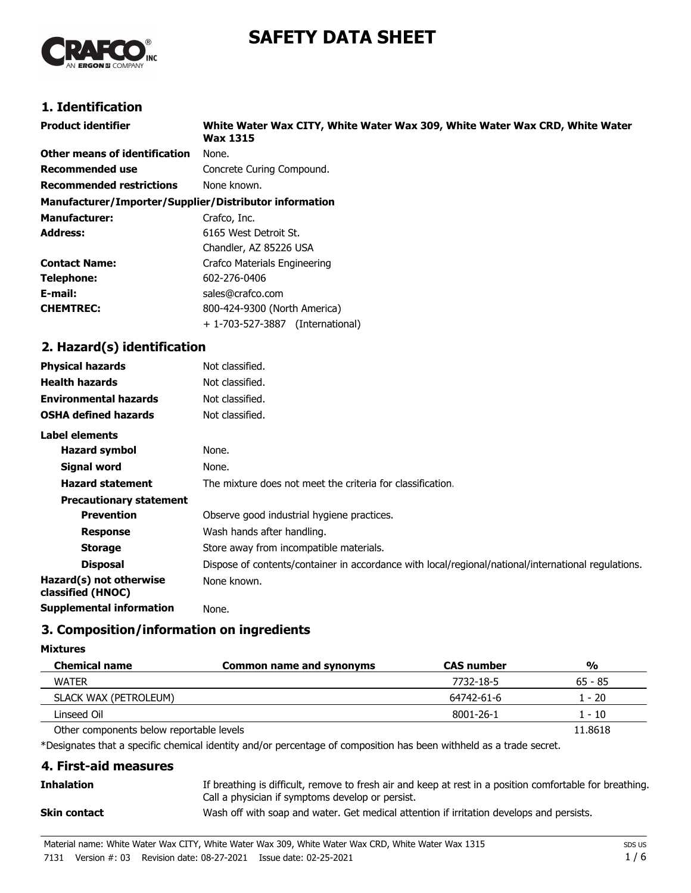# **SAFETY DATA SHEET**



# **1. Identification**

| <b>Product identifier</b>                              | White Water Wax CITY, White Water Wax 309, White Water Wax CRD, White Water<br><b>Wax 1315</b> |
|--------------------------------------------------------|------------------------------------------------------------------------------------------------|
| Other means of identification                          | None.                                                                                          |
| <b>Recommended use</b>                                 | Concrete Curing Compound.                                                                      |
| <b>Recommended restrictions</b>                        | None known.                                                                                    |
| Manufacturer/Importer/Supplier/Distributor information |                                                                                                |
| <b>Manufacturer:</b>                                   | Crafco, Inc.                                                                                   |
| <b>Address:</b>                                        | 6165 West Detroit St.                                                                          |
|                                                        | Chandler, AZ 85226 USA                                                                         |
| <b>Contact Name:</b>                                   | Crafco Materials Engineering                                                                   |
| Telephone:                                             | 602-276-0406                                                                                   |
| E-mail:                                                | sales@crafco.com                                                                               |
| <b>CHEMTREC:</b>                                       | 800-424-9300 (North America)                                                                   |
|                                                        | + 1-703-527-3887 (International)                                                               |
| 2. Hazard(s) identification                            |                                                                                                |
| <b>Physical hazards</b>                                | Not classified.                                                                                |
| <b>Health hazards</b>                                  | Not classified.                                                                                |
| <b>Environmental hazards</b>                           | Not classified.                                                                                |
| <b>OSHA defined hazards</b>                            | Not classified.                                                                                |
| <b>Label elements</b>                                  |                                                                                                |
| <b>Hazard symbol</b>                                   | None.                                                                                          |
| <b>Signal word</b>                                     | None.                                                                                          |

| None.                                                                                               |
|-----------------------------------------------------------------------------------------------------|
| None.                                                                                               |
| The mixture does not meet the criteria for classification.                                          |
|                                                                                                     |
| Observe good industrial hygiene practices.                                                          |
| Wash hands after handling.                                                                          |
| Store away from incompatible materials.                                                             |
| Dispose of contents/container in accordance with local/regional/national/international regulations. |
| None known.                                                                                         |
|                                                                                                     |

**Supplemental information** None.

# **3. Composition/information on ingredients**

### **Mixtures**

| <b>Chemical name</b>                     | Common name and synonyms | <b>CAS number</b> | $\frac{0}{0}$ |
|------------------------------------------|--------------------------|-------------------|---------------|
| <b>WATER</b>                             |                          | 7732-18-5         | $65 - 85$     |
| SLACK WAX (PETROLEUM)                    |                          | 64742-61-6        | . - 20        |
| Linseed Oil                              |                          | 8001-26-1         | $-10$         |
| Other components below reportable levels |                          |                   | 11.8618       |

\*Designates that a specific chemical identity and/or percentage of composition has been withheld as a trade secret.

# **4. First-aid measures** If breathing is difficult, remove to fresh air and keep at rest in a position comfortable for breathing. Call a physician if symptoms develop or persist. **Inhalation Skin contact** Wash off with soap and water. Get medical attention if irritation develops and persists.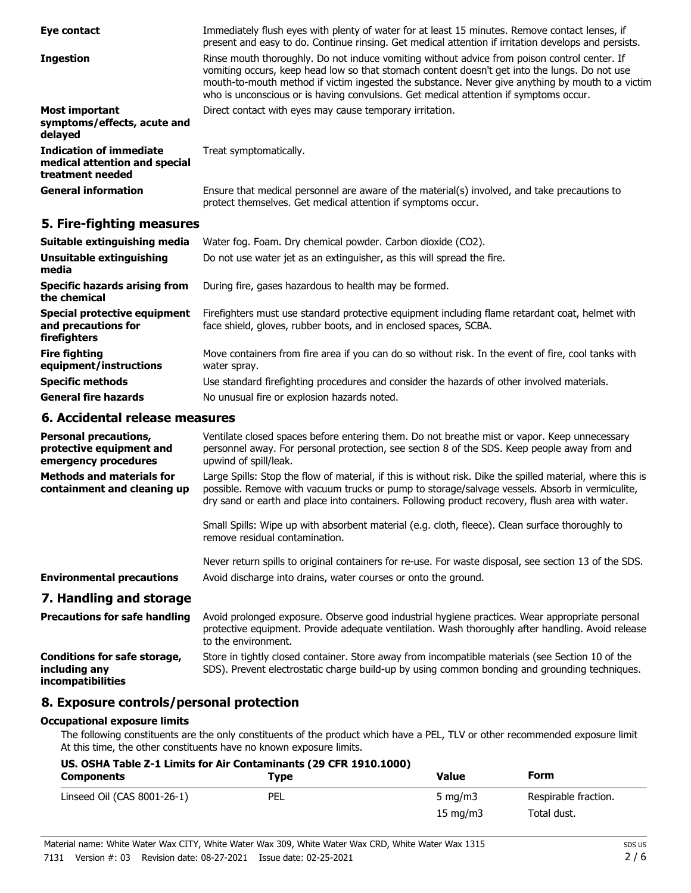| Eye contact                                                                         | Immediately flush eyes with plenty of water for at least 15 minutes. Remove contact lenses, if<br>present and easy to do. Continue rinsing. Get medical attention if irritation develops and persists.                                                                                                                                                                                     |
|-------------------------------------------------------------------------------------|--------------------------------------------------------------------------------------------------------------------------------------------------------------------------------------------------------------------------------------------------------------------------------------------------------------------------------------------------------------------------------------------|
| <b>Ingestion</b>                                                                    | Rinse mouth thoroughly. Do not induce vomiting without advice from poison control center. If<br>vomiting occurs, keep head low so that stomach content doesn't get into the lungs. Do not use<br>mouth-to-mouth method if victim ingested the substance. Never give anything by mouth to a victim<br>who is unconscious or is having convulsions. Get medical attention if symptoms occur. |
| <b>Most important</b><br>symptoms/effects, acute and<br>delayed                     | Direct contact with eyes may cause temporary irritation.                                                                                                                                                                                                                                                                                                                                   |
| <b>Indication of immediate</b><br>medical attention and special<br>treatment needed | Treat symptomatically.                                                                                                                                                                                                                                                                                                                                                                     |
| <b>General information</b>                                                          | Ensure that medical personnel are aware of the material(s) involved, and take precautions to<br>protect themselves. Get medical attention if symptoms occur.                                                                                                                                                                                                                               |

# **5. Fire-fighting measures**

| Suitable extinguishing media                                        | Water fog. Foam. Dry chemical powder. Carbon dioxide (CO2).                                                                                                         |
|---------------------------------------------------------------------|---------------------------------------------------------------------------------------------------------------------------------------------------------------------|
| Unsuitable extinguishing<br>media                                   | Do not use water jet as an extinguisher, as this will spread the fire.                                                                                              |
| <b>Specific hazards arising from</b><br>the chemical                | During fire, gases hazardous to health may be formed.                                                                                                               |
| Special protective equipment<br>and precautions for<br>firefighters | Firefighters must use standard protective equipment including flame retardant coat, helmet with<br>face shield, gloves, rubber boots, and in enclosed spaces, SCBA. |
| <b>Fire fighting</b><br>equipment/instructions                      | Move containers from fire area if you can do so without risk. In the event of fire, cool tanks with<br>water spray.                                                 |
| <b>Specific methods</b>                                             | Use standard firefighting procedures and consider the hazards of other involved materials.                                                                          |
| <b>General fire hazards</b>                                         | No unusual fire or explosion hazards noted.                                                                                                                         |

# **6. Accidental release measures**

| <b>Personal precautions,</b><br>protective equipment and<br>emergency procedures | Ventilate closed spaces before entering them. Do not breathe mist or vapor. Keep unnecessary<br>personnel away. For personal protection, see section 8 of the SDS. Keep people away from and<br>upwind of spill/leak.                                                                                           |
|----------------------------------------------------------------------------------|-----------------------------------------------------------------------------------------------------------------------------------------------------------------------------------------------------------------------------------------------------------------------------------------------------------------|
| <b>Methods and materials for</b><br>containment and cleaning up                  | Large Spills: Stop the flow of material, if this is without risk. Dike the spilled material, where this is<br>possible. Remove with vacuum trucks or pump to storage/salvage vessels. Absorb in vermiculite,<br>dry sand or earth and place into containers. Following product recovery, flush area with water. |
|                                                                                  | Small Spills: Wipe up with absorbent material (e.g. cloth, fleece). Clean surface thoroughly to<br>remove residual contamination.                                                                                                                                                                               |
| <b>Environmental precautions</b>                                                 | Never return spills to original containers for re-use. For waste disposal, see section 13 of the SDS.<br>Avoid discharge into drains, water courses or onto the ground.                                                                                                                                         |
| 7. Handling and storage                                                          |                                                                                                                                                                                                                                                                                                                 |
| <b>Precautions for safe handling</b>                                             | Avoid prolonged exposure. Observe good industrial hygiene practices. Wear appropriate personal<br>protective equipment. Provide adequate ventilation. Wash thoroughly after handling. Avoid release<br>to the environment.                                                                                      |
| <b>Conditions for safe storage,</b><br>including any                             | Store in tightly closed container. Store away from incompatible materials (see Section 10 of the<br>SDS). Prevent electrostatic charge build-up by using common bonding and grounding techniques.                                                                                                               |

**including any incompatibilities**

# **8. Exposure controls/personal protection**

### **Occupational exposure limits**

The following constituents are the only constituents of the product which have a PEL, TLV or other recommended exposure limit. At this time, the other constituents have no known exposure limits.

| US. OSHA Table Z-1 Limits for Air Contaminants (29 CFR 1910.1000)<br><b>Components</b> | Tvpe | Value             | Form                 |
|----------------------------------------------------------------------------------------|------|-------------------|----------------------|
| Linseed Oil (CAS 8001-26-1)                                                            | PEL  | 5 mg/m $3$        | Respirable fraction. |
|                                                                                        |      | $15 \text{ mg/m}$ | Total dust.          |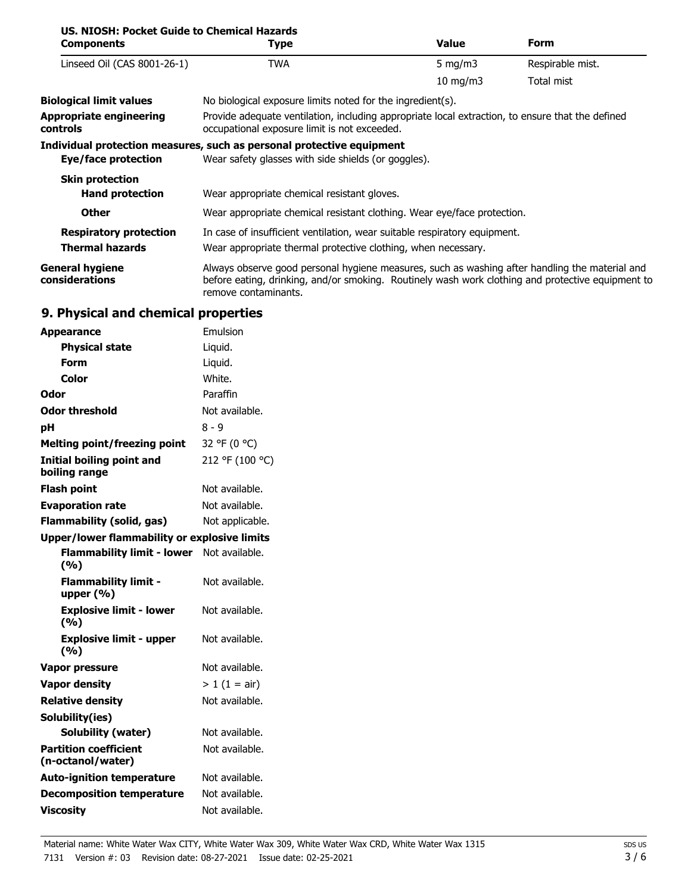| US. NIOSH: Pocket Guide to Chemical Hazards<br><b>Components</b> | Type                                                                                                                                                                                                                        | Value         | Form             |
|------------------------------------------------------------------|-----------------------------------------------------------------------------------------------------------------------------------------------------------------------------------------------------------------------------|---------------|------------------|
| Linseed Oil (CAS 8001-26-1)                                      | TWA                                                                                                                                                                                                                         | 5 mg/m $3$    | Respirable mist. |
|                                                                  |                                                                                                                                                                                                                             | $10$ mg/m $3$ | Total mist       |
| <b>Biological limit values</b>                                   | No biological exposure limits noted for the ingredient(s).                                                                                                                                                                  |               |                  |
| <b>Appropriate engineering</b><br><b>controls</b>                | Provide adequate ventilation, including appropriate local extraction, to ensure that the defined<br>occupational exposure limit is not exceeded.                                                                            |               |                  |
|                                                                  | Individual protection measures, such as personal protective equipment                                                                                                                                                       |               |                  |
| Eye/face protection                                              | Wear safety glasses with side shields (or goggles).                                                                                                                                                                         |               |                  |
| <b>Skin protection</b>                                           |                                                                                                                                                                                                                             |               |                  |
| <b>Hand protection</b>                                           | Wear appropriate chemical resistant gloves.                                                                                                                                                                                 |               |                  |
| <b>Other</b>                                                     | Wear appropriate chemical resistant clothing. Wear eye/face protection.                                                                                                                                                     |               |                  |
| <b>Respiratory protection</b>                                    | In case of insufficient ventilation, wear suitable respiratory equipment.                                                                                                                                                   |               |                  |
| <b>Thermal hazards</b>                                           | Wear appropriate thermal protective clothing, when necessary.                                                                                                                                                               |               |                  |
| <b>General hygiene</b><br>considerations                         | Always observe good personal hygiene measures, such as washing after handling the material and<br>before eating, drinking, and/or smoking. Routinely wash work clothing and protective equipment to<br>remove contaminants. |               |                  |

# **9. Physical and chemical properties**

| <b>Appearance</b>                                   | Emulsion        |
|-----------------------------------------------------|-----------------|
| <b>Physical state</b>                               | Liquid.         |
| Form                                                | Liquid.         |
| Color                                               | White.          |
| Odor                                                | Paraffin        |
| Odor threshold                                      | Not available.  |
| рH                                                  | $8 - 9$         |
| <b>Melting point/freezing point</b>                 | 32 °F (0 °C)    |
| <b>Initial boiling point and</b><br>boiling range   | 212 °F (100 °C) |
| <b>Flash point</b>                                  | Not available.  |
| <b>Evaporation rate</b>                             | Not available.  |
| <b>Flammability (solid, gas)</b>                    | Not applicable. |
| <b>Upper/lower flammability or explosive limits</b> |                 |
| <b>Flammability limit - lower</b><br>(%)            | Not available.  |
| <b>Flammability limit -</b><br>upper $(%)$          | Not available.  |
| <b>Explosive limit - lower</b><br>(%)               | Not available.  |
| <b>Explosive limit - upper</b><br>(%)               | Not available.  |
| <b>Vapor pressure</b>                               | Not available.  |
| <b>Vapor density</b>                                | $> 1 (1 = air)$ |
| <b>Relative density</b>                             | Not available.  |
| Solubility(ies)                                     |                 |
| Solubility (water)                                  | Not available.  |
| <b>Partition coefficient</b><br>(n-octanol/water)   | Not available.  |
| <b>Auto-ignition temperature</b>                    | Not available.  |
| <b>Decomposition temperature</b>                    | Not available.  |
| <b>Viscosity</b>                                    | Not available.  |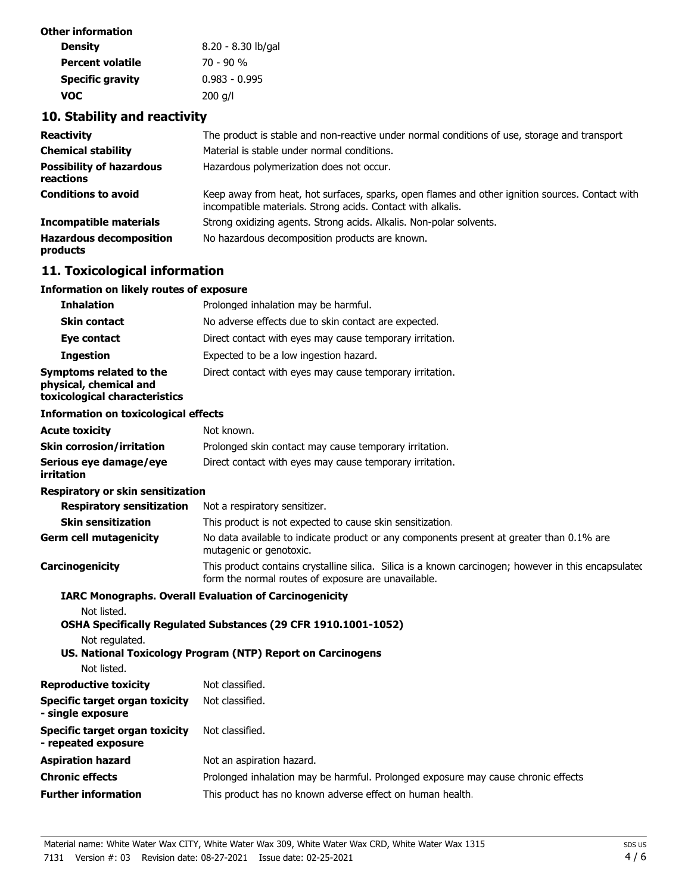| Other information       |                    |
|-------------------------|--------------------|
| <b>Density</b>          | 8.20 - 8.30 lb/gal |
| <b>Percent volatile</b> | 70 - 90 %          |
| <b>Specific gravity</b> | $0.983 - 0.995$    |
| voc                     | $200$ g/l          |

# **10. Stability and reactivity**

| <b>Reactivity</b>                            | The product is stable and non-reactive under normal conditions of use, storage and transport                                                                   |
|----------------------------------------------|----------------------------------------------------------------------------------------------------------------------------------------------------------------|
| <b>Chemical stability</b>                    | Material is stable under normal conditions.                                                                                                                    |
| <b>Possibility of hazardous</b><br>reactions | Hazardous polymerization does not occur.                                                                                                                       |
| <b>Conditions to avoid</b>                   | Keep away from heat, hot surfaces, sparks, open flames and other ignition sources. Contact with<br>incompatible materials. Strong acids. Contact with alkalis. |
| <b>Incompatible materials</b>                | Strong oxidizing agents. Strong acids. Alkalis. Non-polar solvents.                                                                                            |
| <b>Hazardous decomposition</b><br>products   | No hazardous decomposition products are known.                                                                                                                 |

# **11. Toxicological information**

### **Information on likely routes of exposure**

| <b>Inhalation</b>                                                                  | Prolonged inhalation may be harmful.                     |
|------------------------------------------------------------------------------------|----------------------------------------------------------|
| <b>Skin contact</b>                                                                | No adverse effects due to skin contact are expected.     |
| Eye contact                                                                        | Direct contact with eyes may cause temporary irritation. |
| <b>Ingestion</b>                                                                   | Expected to be a low ingestion hazard.                   |
| Symptoms related to the<br>physical, chemical and<br>toxicological characteristics | Direct contact with eyes may cause temporary irritation. |

#### **Information on toxicological effects**

| <b>Acute toxicity</b>                | Not known.                                               |
|--------------------------------------|----------------------------------------------------------|
| <b>Skin corrosion/irritation</b>     | Prolonged skin contact may cause temporary irritation.   |
| Serious eye damage/eye<br>irritation | Direct contact with eyes may cause temporary irritation. |

#### **Respiratory or skin sensitization**

| <b>Respiratory sensitization</b> | Not a respiratory sensitizer.                                                                                                                               |
|----------------------------------|-------------------------------------------------------------------------------------------------------------------------------------------------------------|
| <b>Skin sensitization</b>        | This product is not expected to cause skin sensitization.                                                                                                   |
| <b>Germ cell mutagenicity</b>    | No data available to indicate product or any components present at greater than 0.1% are<br>mutagenic or genotoxic.                                         |
| Carcinogenicity                  | This product contains crystalline silica. Silica is a known carcinogen; however in this encapsulated<br>form the normal routes of exposure are unavailable. |

### **IARC Monographs. Overall Evaluation of Carcinogenicity**

Not listed.

**OSHA Specifically Regulated Substances (29 CFR 1910.1001-1052)**

Not regulated.

**US. National Toxicology Program (NTP) Report on Carcinogens** Not listed.

| inol iisteg.                |          |
|-----------------------------|----------|
| Daniel driedline besitelder | $N = -1$ |

| Reproductive toxicity                                 | <u>NOT CIASSITIEG.</u>                                                            |
|-------------------------------------------------------|-----------------------------------------------------------------------------------|
| Specific target organ toxicity<br>- single exposure   | Not classified.                                                                   |
| Specific target organ toxicity<br>- repeated exposure | Not classified.                                                                   |
| Aspiration hazard                                     | Not an aspiration hazard.                                                         |
| Chronic effects                                       | Prolonged inhalation may be harmful. Prolonged exposure may cause chronic effects |
| <b>Further information</b>                            | This product has no known adverse effect on human health.                         |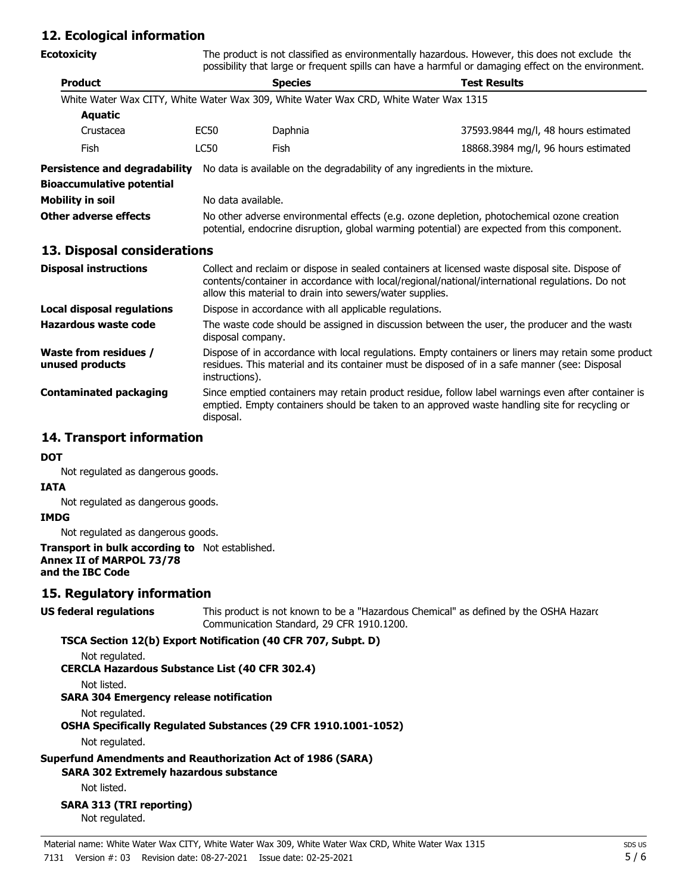# **12. Ecological information**

| <b>Ecotoxicity</b>                              | The product is not classified as environmentally hazardous. However, this does not exclude the<br>possibility that large or frequent spills can have a harmful or damaging effect on the environment.                                                          |                                                                                                                                                                                                                        |                                                                              |  |  |
|-------------------------------------------------|----------------------------------------------------------------------------------------------------------------------------------------------------------------------------------------------------------------------------------------------------------------|------------------------------------------------------------------------------------------------------------------------------------------------------------------------------------------------------------------------|------------------------------------------------------------------------------|--|--|
| <b>Product</b>                                  |                                                                                                                                                                                                                                                                | <b>Species</b>                                                                                                                                                                                                         | <b>Test Results</b>                                                          |  |  |
|                                                 |                                                                                                                                                                                                                                                                | White Water Wax CITY, White Water Wax 309, White Water Wax CRD, White Water Wax 1315                                                                                                                                   |                                                                              |  |  |
| <b>Aquatic</b>                                  |                                                                                                                                                                                                                                                                |                                                                                                                                                                                                                        |                                                                              |  |  |
| Crustacea                                       | <b>EC50</b>                                                                                                                                                                                                                                                    | Daphnia                                                                                                                                                                                                                | 37593.9844 mg/l, 48 hours estimated                                          |  |  |
| Fish                                            | <b>LC50</b>                                                                                                                                                                                                                                                    | Fish                                                                                                                                                                                                                   | 18868.3984 mg/l, 96 hours estimated                                          |  |  |
| <b>Persistence and degradability</b>            |                                                                                                                                                                                                                                                                |                                                                                                                                                                                                                        | No data is available on the degradability of any ingredients in the mixture. |  |  |
| <b>Bioaccumulative potential</b>                |                                                                                                                                                                                                                                                                |                                                                                                                                                                                                                        |                                                                              |  |  |
| <b>Mobility in soil</b>                         |                                                                                                                                                                                                                                                                | No data available.                                                                                                                                                                                                     |                                                                              |  |  |
| Other adverse effects                           |                                                                                                                                                                                                                                                                | No other adverse environmental effects (e.g. ozone depletion, photochemical ozone creation<br>potential, endocrine disruption, global warming potential) are expected from this component.                             |                                                                              |  |  |
| 13. Disposal considerations                     |                                                                                                                                                                                                                                                                |                                                                                                                                                                                                                        |                                                                              |  |  |
| <b>Disposal instructions</b>                    | Collect and reclaim or dispose in sealed containers at licensed waste disposal site. Dispose of<br>contents/container in accordance with local/regional/national/international regulations. Do not<br>allow this material to drain into sewers/water supplies. |                                                                                                                                                                                                                        |                                                                              |  |  |
| <b>Local disposal regulations</b>               |                                                                                                                                                                                                                                                                | Dispose in accordance with all applicable regulations.                                                                                                                                                                 |                                                                              |  |  |
| <b>Hazardous waste code</b>                     |                                                                                                                                                                                                                                                                | The waste code should be assigned in discussion between the user, the producer and the waste<br>disposal company.                                                                                                      |                                                                              |  |  |
| <b>Waste from residues /</b><br>unused products |                                                                                                                                                                                                                                                                | Dispose of in accordance with local regulations. Empty containers or liners may retain some product<br>residues. This material and its container must be disposed of in a safe manner (see: Disposal<br>instructions). |                                                                              |  |  |
| <b>Contaminated packaging</b>                   | Since emptied containers may retain product residue, follow label warnings even after container is<br>emptied. Empty containers should be taken to an approved waste handling site for recycling or<br>disposal.                                               |                                                                                                                                                                                                                        |                                                                              |  |  |

## **14. Transport information**

#### **DOT**

Not regulated as dangerous goods.

### **IATA**

Not regulated as dangerous goods.

#### **IMDG**

Not regulated as dangerous goods.

#### **Transport in bulk according to** Not established. **Annex II of MARPOL 73/78 and the IBC Code**

### **15. Regulatory information**

### **US federal regulations**

This product is not known to be a "Hazardous Chemical" as defined by the OSHA Hazard Communication Standard, 29 CFR 1910.1200.

### **TSCA Section 12(b) Export Notification (40 CFR 707, Subpt. D)**

Not regulated.

**CERCLA Hazardous Substance List (40 CFR 302.4)**

Not listed.

# **SARA 304 Emergency release notification**

Not regulated.

**OSHA Specifically Regulated Substances (29 CFR 1910.1001-1052)**

Not regulated.

# **Superfund Amendments and Reauthorization Act of 1986 (SARA)**

**SARA 302 Extremely hazardous substance**

Not listed.

**SARA 313 (TRI reporting)** Not regulated.